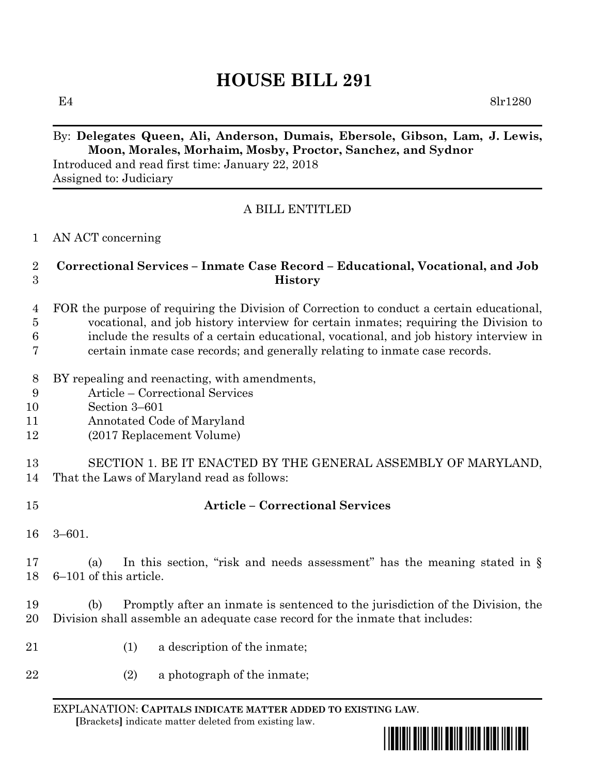# **HOUSE BILL 291**

E4 8lr1280

## By: **Delegates Queen, Ali, Anderson, Dumais, Ebersole, Gibson, Lam, J. Lewis, Moon, Morales, Morhaim, Mosby, Proctor, Sanchez, and Sydnor**

Introduced and read first time: January 22, 2018 Assigned to: Judiciary

## A BILL ENTITLED

#### AN ACT concerning

### **Correctional Services – Inmate Case Record – Educational, Vocational, and Job History**

- FOR the purpose of requiring the Division of Correction to conduct a certain educational, vocational, and job history interview for certain inmates; requiring the Division to include the results of a certain educational, vocational, and job history interview in certain inmate case records; and generally relating to inmate case records.
- BY repealing and reenacting, with amendments,
- Article Correctional Services
- Section 3–601
- Annotated Code of Maryland
- (2017 Replacement Volume)

 SECTION 1. BE IT ENACTED BY THE GENERAL ASSEMBLY OF MARYLAND, That the Laws of Maryland read as follows:

## **Article – Correctional Services**

3–601.

 (a) In this section, "risk and needs assessment" has the meaning stated in § 6–101 of this article.

 (b) Promptly after an inmate is sentenced to the jurisdiction of the Division, the Division shall assemble an adequate case record for the inmate that includes:

- 21 (1) a description of the inmate;
- (2) a photograph of the inmate;

EXPLANATION: **CAPITALS INDICATE MATTER ADDED TO EXISTING LAW**.  **[**Brackets**]** indicate matter deleted from existing law.

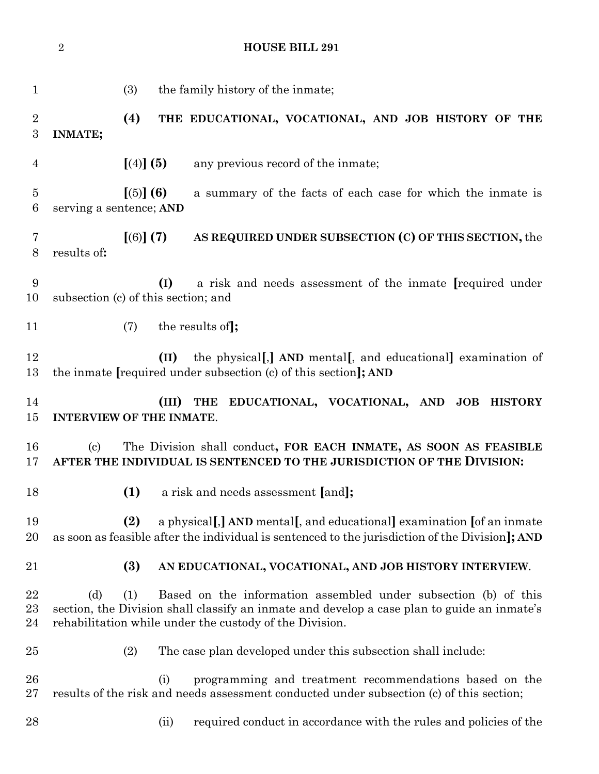|                     | $\overline{2}$             | <b>HOUSE BILL 291</b>                                                                                                                                                                                                            |  |
|---------------------|----------------------------|----------------------------------------------------------------------------------------------------------------------------------------------------------------------------------------------------------------------------------|--|
| $\mathbf{1}$        |                            | (3)<br>the family history of the inmate;                                                                                                                                                                                         |  |
| $\overline{2}$<br>3 | <b>INMATE;</b>             | (4)<br>THE EDUCATIONAL, VOCATIONAL, AND JOB HISTORY OF THE                                                                                                                                                                       |  |
| $\overline{4}$      |                            | [(4)] (5)<br>any previous record of the inmate;                                                                                                                                                                                  |  |
| $\overline{5}$<br>6 | serving a sentence; AND    | $[(5)]$ (6)<br>a summary of the facts of each case for which the inmate is                                                                                                                                                       |  |
| 7<br>8              | results of:                | [(6)] (7)<br>AS REQUIRED UNDER SUBSECTION (C) OF THIS SECTION, the                                                                                                                                                               |  |
| 9<br>10             |                            | (I)<br>a risk and needs assessment of the inmate [required under<br>subsection (c) of this section; and                                                                                                                          |  |
| 11                  |                            | the results of ;<br>(7)                                                                                                                                                                                                          |  |
| 12<br>13            |                            | the physical, AND mental, and educational examination of<br>(II)<br>the inmate [required under subsection (c) of this section]; AND                                                                                              |  |
| 14<br>$15\,$        |                            | EDUCATIONAL, VOCATIONAL, AND<br><b>JOB HISTORY</b><br>(III)<br><b>THE</b><br><b>INTERVIEW OF THE INMATE.</b>                                                                                                                     |  |
| 16<br>17            | $\left( \mathrm{c}\right)$ | The Division shall conduct, FOR EACH INMATE, AS SOON AS FEASIBLE<br>AFTER THE INDIVIDUAL IS SENTENCED TO THE JURISDICTION OF THE DIVISION:                                                                                       |  |
| 18                  |                            | (1)<br>a risk and needs assessment [and];                                                                                                                                                                                        |  |
| 19<br>20            |                            | a physical[,] AND mental[, and educational] examination [of an inmate<br>(2)<br>as soon as feasible after the individual is sentenced to the jurisdiction of the Division]; AND                                                  |  |
| 21                  |                            | (3)<br>AN EDUCATIONAL, VOCATIONAL, AND JOB HISTORY INTERVIEW.                                                                                                                                                                    |  |
| $22\,$<br>23<br>24  | (d)                        | Based on the information assembled under subsection (b) of this<br>(1)<br>section, the Division shall classify an inmate and develop a case plan to guide an inmate's<br>rehabilitation while under the custody of the Division. |  |
| 25                  |                            | (2)<br>The case plan developed under this subsection shall include:                                                                                                                                                              |  |
| 26<br>$27\,$        |                            | (i)<br>programming and treatment recommendations based on the<br>results of the risk and needs assessment conducted under subsection (c) of this section;                                                                        |  |
| 28                  |                            | required conduct in accordance with the rules and policies of the<br>(ii)                                                                                                                                                        |  |